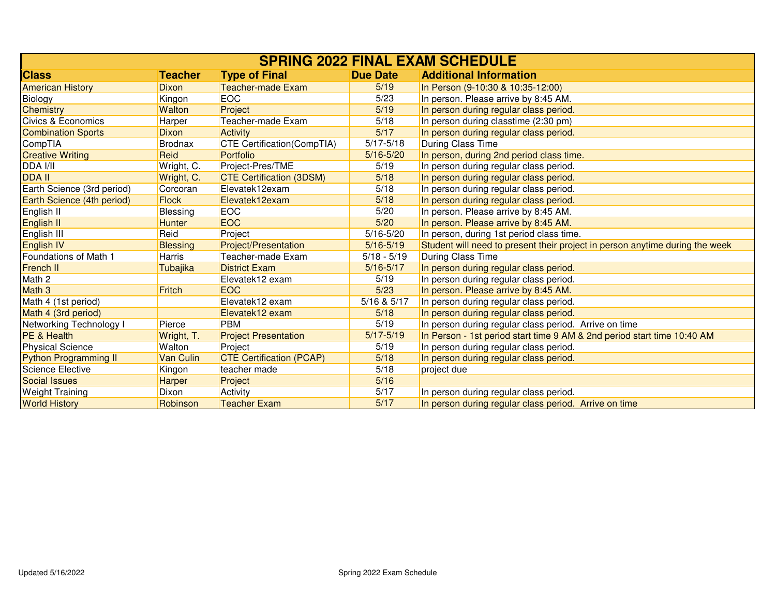| <b>SPRING 2022 FINAL EXAM SCHEDULE</b> |                 |                                   |                 |                                                                              |
|----------------------------------------|-----------------|-----------------------------------|-----------------|------------------------------------------------------------------------------|
| <b>Class</b>                           | <b>Teacher</b>  | <b>Type of Final</b>              | <b>Due Date</b> | <b>Additional Information</b>                                                |
| <b>American History</b>                | <b>Dixon</b>    | <b>Teacher-made Exam</b>          | 5/19            | In Person (9-10:30 & 10:35-12:00)                                            |
| Biology                                | Kingon          | <b>EOC</b>                        | 5/23            | In person. Please arrive by 8:45 AM.                                         |
| <b>Chemistry</b>                       | <b>Walton</b>   | Project                           | 5/19            | In person during regular class period.                                       |
| Civics & Economics                     | Harper          | Teacher-made Exam                 | 5/18            | In person during classtime (2:30 pm)                                         |
| <b>Combination Sports</b>              | <b>Dixon</b>    | <b>Activity</b>                   | 5/17            | In person during regular class period.                                       |
| CompTIA                                | <b>Brodnax</b>  | <b>CTE Certification(CompTIA)</b> | $5/17 - 5/18$   | During Class Time                                                            |
| <b>Creative Writing</b>                | Reid            | Portfolio                         | $5/16 - 5/20$   | In person, during 2nd period class time.                                     |
| DDA I/II                               | Wright, C.      | Project-Pres/TME                  | 5/19            | In person during regular class period.                                       |
| <b>DDA II</b>                          | Wright, C.      | <b>CTE Certification (3DSM)</b>   | 5/18            | In person during regular class period.                                       |
| Earth Science (3rd period)             | Corcoran        | Elevatek12exam                    | 5/18            | In person during regular class period.                                       |
| Earth Science (4th period)             | <b>Flock</b>    | Elevatek12exam                    | 5/18            | In person during regular class period.                                       |
| English II                             | <b>Blessing</b> | <b>EOC</b>                        | 5/20            | In person. Please arrive by 8:45 AM.                                         |
| English <sub>II</sub>                  | <b>Hunter</b>   | <b>EOC</b>                        | 5/20            | In person. Please arrive by 8:45 AM.                                         |
| English III                            | Reid            | Project                           | $5/16 - 5/20$   | In person, during 1st period class time.                                     |
| English <sub>IV</sub>                  | <b>Blessing</b> | <b>Project/Presentation</b>       | $5/16 - 5/19$   | Student will need to present their project in person anytime during the week |
| Foundations of Math 1                  | Harris          | Teacher-made Exam                 | $5/18 - 5/19$   | <b>During Class Time</b>                                                     |
| French II                              | Tubajika        | <b>District Exam</b>              | $5/16 - 5/17$   | In person during regular class period.                                       |
| Math 2                                 |                 | Elevatek12 exam                   | 5/19            | In person during regular class period.                                       |
| Math <sub>3</sub>                      | Fritch          | <b>EOC</b>                        | 5/23            | In person. Please arrive by 8:45 AM.                                         |
| Math 4 (1st period)                    |                 | Elevatek12 exam                   | 5/16 & 5/17     | In person during regular class period.                                       |
| Math 4 (3rd period)                    |                 | Elevatek12 exam                   | 5/18            | In person during regular class period.                                       |
| Networking Technology I                | Pierce          | <b>PBM</b>                        | 5/19            | In person during regular class period. Arrive on time                        |
| <b>PE &amp; Health</b>                 | Wright, T.      | <b>Project Presentation</b>       | $5/17 - 5/19$   | In Person - 1st period start time 9 AM & 2nd period start time 10:40 AM      |
| <b>Physical Science</b>                | Walton          | Project                           | 5/19            | In person during regular class period.                                       |
| Python Programming II                  | Van Culin       | <b>CTE Certification (PCAP)</b>   | 5/18            | In person during regular class period.                                       |
| <b>Science Elective</b>                | Kingon          | teacher made                      | 5/18            | project due                                                                  |
| <b>Social Issues</b>                   | Harper          | Project                           | 5/16            |                                                                              |
| <b>Weight Training</b>                 | Dixon           | Activity                          | 5/17            | In person during regular class period.                                       |
| <b>World History</b>                   | Robinson        | <b>Teacher Exam</b>               | 5/17            | In person during regular class period. Arrive on time                        |